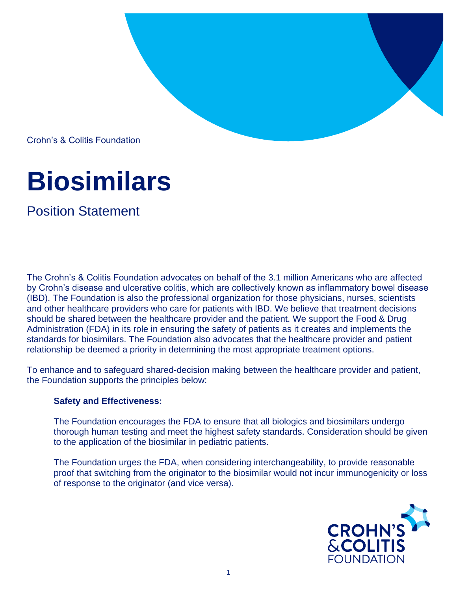

Crohn's & Colitis Foundation

## **Biosimilars**

Position Statement

The Crohn's & Colitis Foundation advocates on behalf of the 3.1 million Americans who are affected by Crohn's disease and ulcerative colitis, which are collectively known as inflammatory bowel disease (IBD). The Foundation is also the professional organization for those physicians, nurses, scientists and other healthcare providers who care for patients with IBD. We believe that treatment decisions should be shared between the healthcare provider and the patient. We support the Food & Drug Administration (FDA) in its role in ensuring the safety of patients as it creates and implements the standards for biosimilars. The Foundation also advocates that the healthcare provider and patient relationship be deemed a priority in determining the most appropriate treatment options.

To enhance and to safeguard shared-decision making between the healthcare provider and patient, the Foundation supports the principles below:

## **Safety and Effectiveness:**

The Foundation encourages the FDA to ensure that all biologics and biosimilars undergo thorough human testing and meet the highest safety standards. Consideration should be given to the application of the biosimilar in pediatric patients.

The Foundation urges the FDA, when considering interchangeability, to provide reasonable proof that switching from the originator to the biosimilar would not incur immunogenicity or loss of response to the originator (and vice versa).